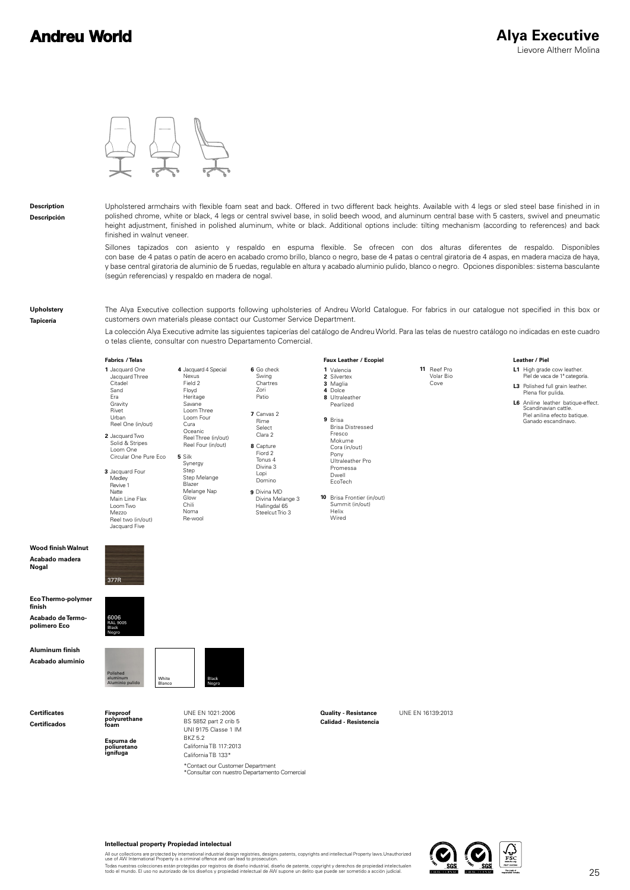## **Andreu World**

Leather / Piel

Piel de vaca de 1ª categoría Plena flor pulida

High grade cow leather. Polished full grain leather.

Piel anilina efecto batique. Ganado escandinavo.

Aniline leather batique-effect. Scandinavian cattle.



## **Description Descripción**

Upholstered armchairs with flexible foam seat and back. Offered in two different back heights. Available with 4 legs or sled steel base finished in in polished chrome, white or black, 4 legs or central swivel base, in solid beech wood, and aluminum central base with 5 casters, swivel and pneumatic height adjustment, finished in polished aluminum, white or black. Additional options include: tilting mechanism (according to references) and back finished in walnut veneer.

Sillones tapizados con asiento y respaldo en espuma flexible. Se ofrecen con dos alturas diferentes de respaldo. Disponibles con base de 4 patas o patín de acero en acabado cromo brillo, blanco o negro, base de 4 patas o central giratoria de 4 aspas, en madera maciza de haya, y base central giratoria de aluminio de 5 ruedas, regulable en altura y acabado aluminio pulido, blanco o negro. Opciones disponibles: sistema basculante (según referencias) y respaldo en madera de nogal.

**Upholstery Tapicería**

The Alya Executive collection supports following upholsteries of Andreu World Catalogue. For fabrics in our catalogue not specified in this box or customers own materials please contact our Customer Service Department.

La colección Alya Executive admite las siguientes tapicerías del catálogo de Andreu World. Para las telas de nuestro catálogo no indicadas en este cuadro o telas cliente, consultar con nuestro Departamento Comercial.

**Faux Leather** / Ecopiel

## **Fabrics** / Telas

| 1 Jacquard One<br>Jacquard Three                           | 4 Jacquard 4 Special<br>Nexus | 6 Go check<br>Swing | 1 Valencia<br>2 Silvertex  | 11 Reef Pro<br>Volar Bio | L1 |
|------------------------------------------------------------|-------------------------------|---------------------|----------------------------|--------------------------|----|
| Citadel                                                    | Field 2                       | Chartres            | 3 Maglia                   | Cove                     | L3 |
| Sand                                                       | Floyd                         | Zori                | 4 Dolce                    |                          |    |
| Era                                                        | Heritage                      | Patio               | 8 Ultraleather             |                          | L6 |
| Gravity                                                    | Savane                        |                     | Pearlized                  |                          |    |
| Rivet<br>Urban                                             | Loom Three<br>Loom Four       | 7 Canvas 2          |                            |                          |    |
|                                                            | Cura                          | Rime                | 9 Brisa                    |                          |    |
| Reel One (in/out)                                          | Oceanic                       | Select              | <b>Brisa Distressed</b>    |                          |    |
| 2 Jacquard Two                                             | Reel Three (in/out)           | Clara 2             | Fresco                     |                          |    |
| Solid & Stripes                                            | Reel Four (in/out)            |                     | Mokume                     |                          |    |
| Loom One                                                   |                               | 8 Capture           | Cora (in/out)              |                          |    |
| Circular One Pure Eco                                      | 5 Silk                        | Fiord 2             | Pony                       |                          |    |
|                                                            | Synergy                       | Tonus 4             | Ultraleather Pro           |                          |    |
| 3 Jacquard Four                                            | Step                          | Divina 3            | Promessa                   |                          |    |
| Medley                                                     | Step Melange                  | Lopi                | Dwell                      |                          |    |
| Revive 1                                                   | Blazer                        | Domino              | EcoTech                    |                          |    |
| Natte                                                      | Melange Nap                   | 9 Divina MD         |                            |                          |    |
| Main Line Flax                                             | Glow                          | Divina Melange 3    | 10 Brisa Frontier (in/out) |                          |    |
| Loom Two                                                   | Chili                         | Hallingdal 65       | Summit (in/out)            |                          |    |
| Mezzo                                                      | Noma                          | Steelcut Trio 3     | Helix                      |                          |    |
| Reel two (in/out)                                          | Re-wool                       |                     | Wired                      |                          |    |
| Jacquard Five                                              |                               |                     |                            |                          |    |
| 377R                                                       |                               |                     |                            |                          |    |
| 6006<br>RAL 9005<br><b>Black</b><br>Negro                  |                               |                     |                            |                          |    |
| Polished<br>aluminum<br>White<br>Aluminio pulido<br>Blanco | Black<br>Negro                |                     |                            |                          |    |

**Certificates Certificados**

**Wood finish Walnut Acabado madera Nogal**

**Eco Thermo-polymer** 

**Acabado de Termopolímero Eco**

**Aluminum finish Acabado aluminio**

**finish**

**Fireproof polyurethane foam**

**Espuma de poliuretano ignífuga**

BS 5852 part 2 crib 5 UNI 9175 Classe 1 IM BKZ 5.2 California TB 117:2013 California TB 133\* \*Consultar con nuestro Departamento Comercial \*Contact our Customer Department

UNE EN 1021:2006 UNE EN 16139:2013 **Quality - Resistance Calidad - Resistencia**



All our collections are protected by international industrial design registries, designs patents, copyrights and intellectual Property laws.Unauthorized<br>use of AW International Property is a criminal offence and can lead t

Todas nuestras colecciones están protegidas por registros de diseño industrial, diseño de patente, copyright y derechos de propiedad intelectualen<br>todo el mundo. El uso no autorizado de los diseños y propiedad intelectual

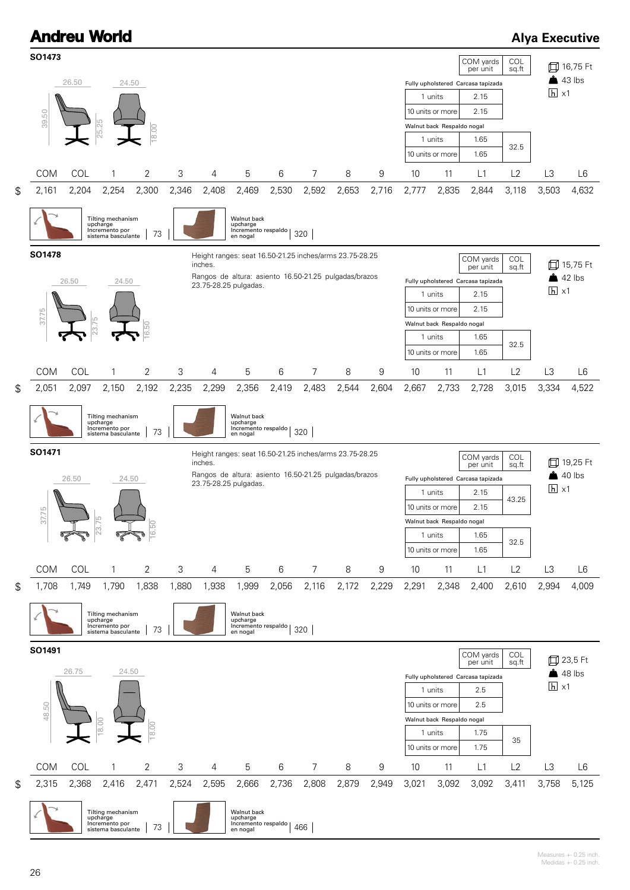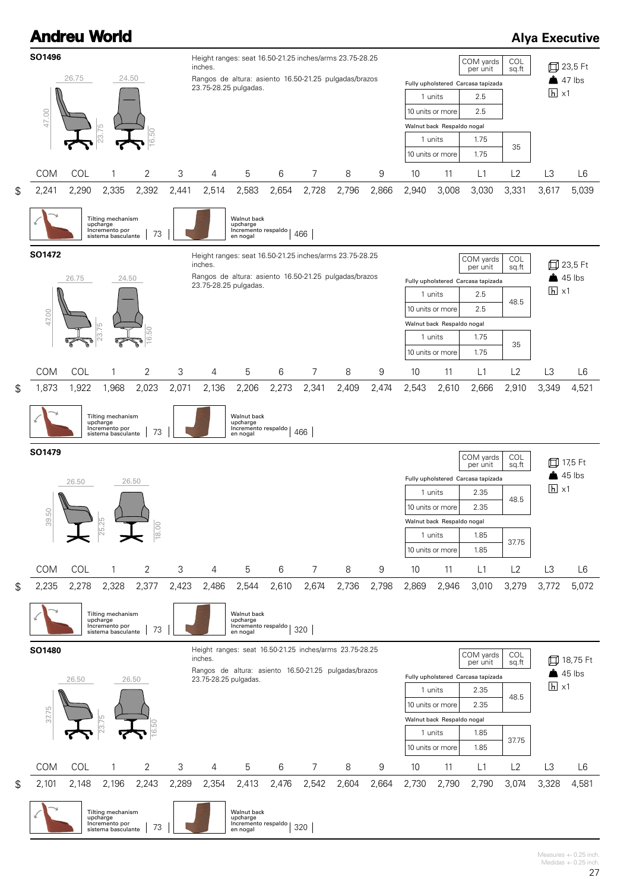

Measures +- 0.25 inch. Medidas  $+-0.25$  inch.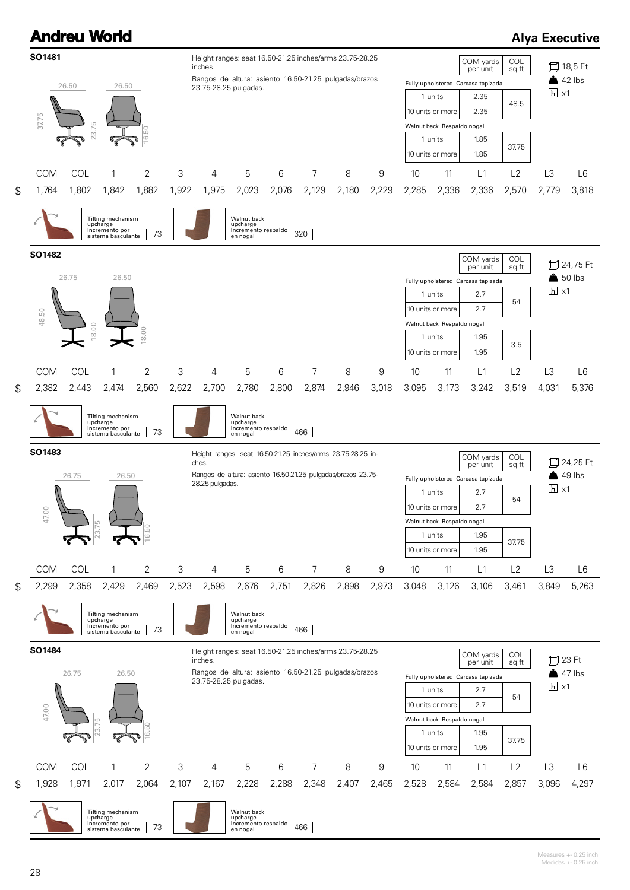